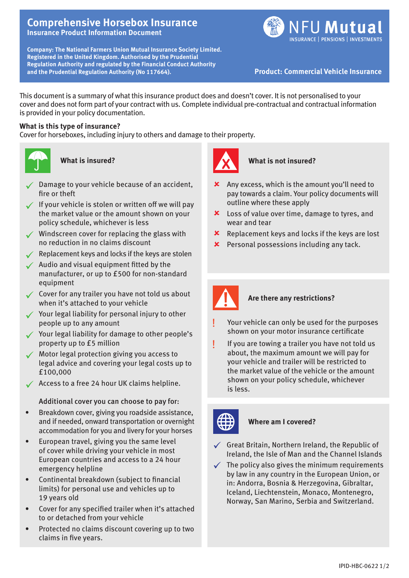## **Comprehensive Horsebox Insurance Insurance Product Information Document**

**Company: The National Farmers Union Mutual Insurance Society Limited. Registered in the United Kingdom. Authorised by the Prudential Regulation Authority and regulated by the Financial Conduct Authority and the Prudential Regulation Authority (No 117664). Product: Commercial Vehicle Insurance**



This document is a summary of what this insurance product does and doesn't cover. It is not personalised to your cover and does not form part of your contract with us. Complete individual pre-contractual and contractual information is provided in your policy documentation.

## **What is this type of insurance?**

Cover for horseboxes, including injury to others and damage to their property.



**What is insured?**

- Damage to your vehicle because of an accident, fire or theft
- $\checkmark$  If your vehicle is stolen or written off we will pay the market value or the amount shown on your policy schedule, whichever is less
- $\checkmark$  Windscreen cover for replacing the glass with no reduction in no claims discount
- $\sqrt{\phantom{a}}$  Replacement keys and locks if the keys are stolen
- $\sqrt{\phantom{a}}$  Audio and visual equipment fitted by the manufacturer, or up to £500 for non-standard equipment
- $\checkmark$  Cover for any trailer you have not told us about when it's attached to your vehicle
- $\checkmark$  Your legal liability for personal injury to other people up to any amount
- $\checkmark$  Your legal liability for damage to other people's property up to £5 million
- $\sqrt{\phantom{a}}$  Motor legal protection giving you access to legal advice and covering your legal costs up to £100,000
- $\checkmark$  Access to a free 24 hour UK claims helpline.

Additional cover you can choose to pay for:

- Breakdown cover, giving you roadside assistance, and if needed, onward transportation or overnight accommodation for you and livery for your horses
- European travel, giving you the same level of cover while driving your vehicle in most European countries and access to a 24 hour emergency helpline
- Continental breakdown (subject to financial limits) for personal use and vehicles up to 19 years old
- Cover for any specified trailer when it's attached to or detached from your vehicle
- Protected no claims discount covering up to two claims in five years.



**What is not insured?**

- $\boldsymbol{\times}$  Any excess, which is the amount you'll need to pay towards a claim. Your policy documents will outline where these apply
- **x** Loss of value over time, damage to tyres, and wear and tear
- $\boldsymbol{\times}$  Replacement keys and locks if the keys are lost
- $\boldsymbol{\times}$  Personal possessions including any tack.



# **Are there any restrictions?**

- Your vehicle can only be used for the purposes shown on your motor insurance certificate
- If you are towing a trailer you have not told us about, the maximum amount we will pay for your vehicle and trailer will be restricted to the market value of the vehicle or the amount shown on your policy schedule, whichever is less.



## **Where am I covered?**

- $\checkmark$  Great Britain, Northern Ireland, the Republic of Ireland, the Isle of Man and the Channel Islands
- $\checkmark$  The policy also gives the minimum requirements by law in any country in the European Union, or in: Andorra, Bosnia & Herzegovina, Gibraltar, Iceland, Liechtenstein, Monaco, Montenegro, Norway, San Marino, Serbia and Switzerland.